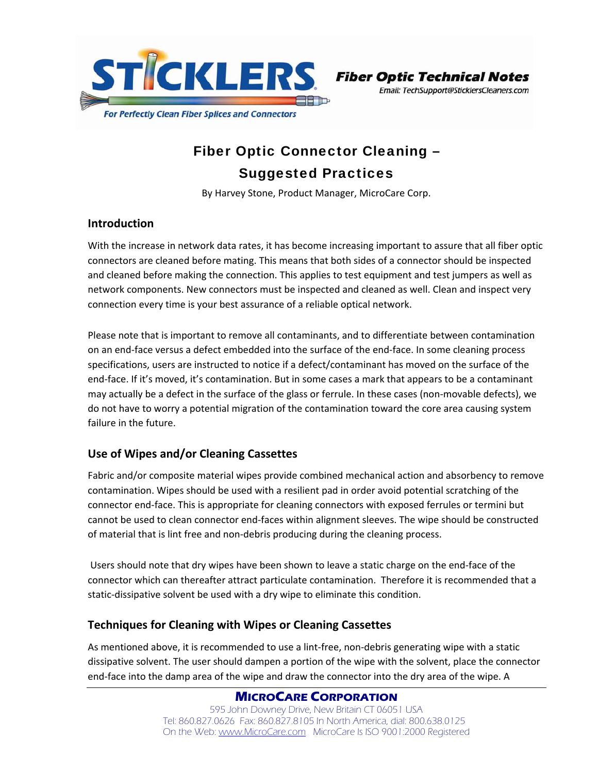

Email: TechSupport@SticklersCleaners.com

# Fiber Optic Connector Cleaning – Suggested Practices

By Harvey Stone, Product Manager, MicroCare Corp.

## **Introduction**

With the increase in network data rates, it has become increasing important to assure that all fiber optic connectors are cleaned before mating. This means that both sides of a connector should be inspected and cleaned before making the connection. This applies to test equipment and test jumpers as well as network components. New connectors must be inspected and cleaned as well. Clean and inspect very connection every time is your best assurance of a reliable optical network.

Please note that is important to remove all contaminants, and to differentiate between contamination on an end‐face versus a defect embedded into the surface of the end‐face. In some cleaning process specifications, users are instructed to notice if a defect/contaminant has moved on the surface of the end‐face. If it's moved, it's contamination. But in some cases a mark that appears to be a contaminant may actually be a defect in the surface of the glass or ferrule. In these cases (non-movable defects), we do not have to worry a potential migration of the contamination toward the core area causing system failure in the future.

## **Use of Wipes and/or Cleaning Cassettes**

Fabric and/or composite material wipes provide combined mechanical action and absorbency to remove contamination. Wipes should be used with a resilient pad in order avoid potential scratching of the connector end‐face. This is appropriate for cleaning connectors with exposed ferrules or termini but cannot be used to clean connector end‐faces within alignment sleeves. The wipe should be constructed of material that is lint free and non‐debris producing during the cleaning process.

Users should note that dry wipes have been shown to leave a static charge on the end‐face of the connector which can thereafter attract particulate contamination. Therefore it is recommended that a static-dissipative solvent be used with a dry wipe to eliminate this condition.

## **Techniques for Cleaning with Wipes or Cleaning Cassettes**

As mentioned above, it is recommended to use a lint‐free, non‐debris generating wipe with a static dissipative solvent. The user should dampen a portion of the wipe with the solvent, place the connector end‐face into the damp area of the wipe and draw the connector into the dry area of the wipe. A

> **MICROCARE CORPORATION** 595 John Downey Drive, New Britain CT 06051 USA Tel: 860.827.0626 Fax: 860.827.8105 In North America, dial: 800.638.0125 On the Web: www.MicroCare.com MicroCare Is ISO 9001:2000 Registered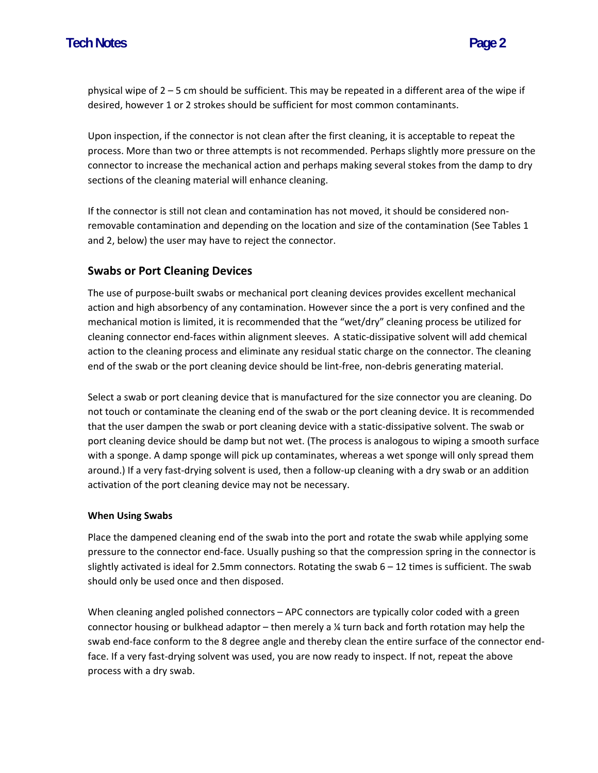physical wipe of 2 – 5 cm should be sufficient. This may be repeated in a different area of the wipe if desired, however 1 or 2 strokes should be sufficient for most common contaminants.

Upon inspection, if the connector is not clean after the first cleaning, it is acceptable to repeat the process. More than two or three attempts is not recommended. Perhaps slightly more pressure on the connector to increase the mechanical action and perhaps making several stokes from the damp to dry sections of the cleaning material will enhance cleaning.

If the connector is still not clean and contamination has not moved, it should be considered non‐ removable contamination and depending on the location and size of the contamination (See Tables 1 and 2, below) the user may have to reject the connector.

## **Swabs or Port Cleaning Devices**

The use of purpose‐built swabs or mechanical port cleaning devices provides excellent mechanical action and high absorbency of any contamination. However since the a port is very confined and the mechanical motion is limited, it is recommended that the "wet/dry" cleaning process be utilized for cleaning connector end‐faces within alignment sleeves. A static‐dissipative solvent will add chemical action to the cleaning process and eliminate any residual static charge on the connector. The cleaning end of the swab or the port cleaning device should be lint-free, non-debris generating material.

Select a swab or port cleaning device that is manufactured for the size connector you are cleaning. Do not touch or contaminate the cleaning end of the swab or the port cleaning device. It is recommended that the user dampen the swab or port cleaning device with a static‐dissipative solvent. The swab or port cleaning device should be damp but not wet. (The process is analogous to wiping a smooth surface with a sponge. A damp sponge will pick up contaminates, whereas a wet sponge will only spread them around.) If a very fast‐drying solvent is used, then a follow‐up cleaning with a dry swab or an addition activation of the port cleaning device may not be necessary.

#### **When Using Swabs**

Place the dampened cleaning end of the swab into the port and rotate the swab while applying some pressure to the connector end‐face. Usually pushing so that the compression spring in the connector is slightly activated is ideal for 2.5mm connectors. Rotating the swab 6 – 12 times is sufficient. The swab should only be used once and then disposed.

When cleaning angled polished connectors – APC connectors are typically color coded with a green connector housing or bulkhead adaptor – then merely a ¼ turn back and forth rotation may help the swab end-face conform to the 8 degree angle and thereby clean the entire surface of the connector endface. If a very fast-drying solvent was used, you are now ready to inspect. If not, repeat the above process with a dry swab.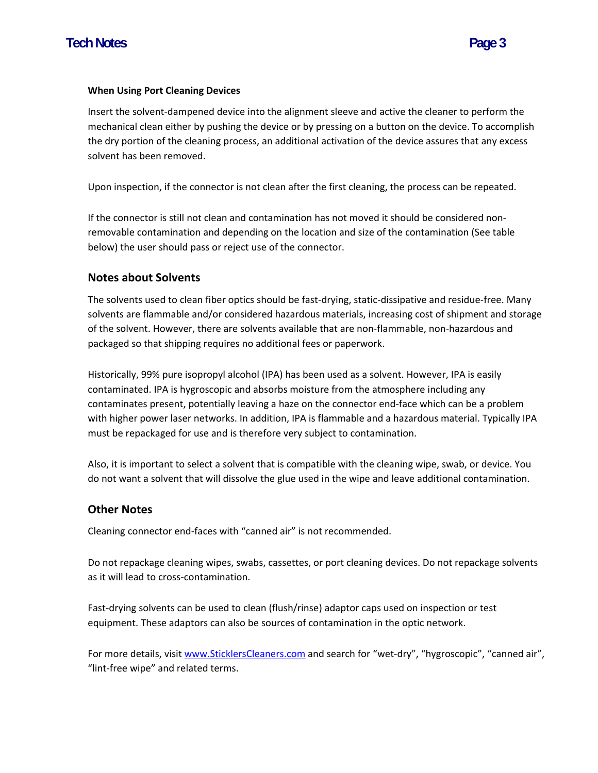#### **When Using Port Cleaning Devices**

Insert the solvent‐dampened device into the alignment sleeve and active the cleaner to perform the mechanical clean either by pushing the device or by pressing on a button on the device. To accomplish the dry portion of the cleaning process, an additional activation of the device assures that any excess solvent has been removed.

Upon inspection, if the connector is not clean after the first cleaning, the process can be repeated.

If the connector is still not clean and contamination has not moved it should be considered non‐ removable contamination and depending on the location and size of the contamination (See table below) the user should pass or reject use of the connector.

#### **Notes about Solvents**

The solvents used to clean fiber optics should be fast‐drying, static‐dissipative and residue‐free. Many solvents are flammable and/or considered hazardous materials, increasing cost of shipment and storage of the solvent. However, there are solvents available that are non‐flammable, non‐hazardous and packaged so that shipping requires no additional fees or paperwork.

Historically, 99% pure isopropyl alcohol (IPA) has been used as a solvent. However, IPA is easily contaminated. IPA is hygroscopic and absorbs moisture from the atmosphere including any contaminates present, potentially leaving a haze on the connector end‐face which can be a problem with higher power laser networks. In addition, IPA is flammable and a hazardous material. Typically IPA must be repackaged for use and is therefore very subject to contamination.

Also, it is important to select a solvent that is compatible with the cleaning wipe, swab, or device. You do not want a solvent that will dissolve the glue used in the wipe and leave additional contamination.

### **Other Notes**

Cleaning connector end‐faces with "canned air" is not recommended.

Do not repackage cleaning wipes, swabs, cassettes, or port cleaning devices. Do not repackage solvents as it will lead to cross‐contamination.

Fast-drying solvents can be used to clean (flush/rinse) adaptor caps used on inspection or test equipment. These adaptors can also be sources of contamination in the optic network.

For more details, visit www.SticklersCleaners.com and search for "wet-dry", "hygroscopic", "canned air", "lint‐free wipe" and related terms.